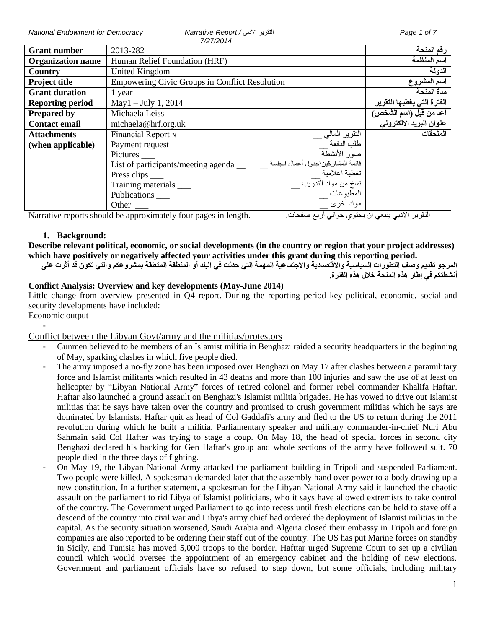*National Endowment for Democracy Narrative Report /* االدبي التقرير *Page 1 of 7*

| <b>Grant number</b>      | <i>.</i><br>2013-282                                  |                                           | رقم المنحة                 |
|--------------------------|-------------------------------------------------------|-------------------------------------------|----------------------------|
| <b>Organization name</b> | Human Relief Foundation (HRF)                         |                                           | اسم المنظمة                |
| Country                  | United Kingdom                                        |                                           | الدولة                     |
| <b>Project title</b>     | <b>Empowering Civic Groups in Conflict Resolution</b> |                                           | اسم المشروع                |
| <b>Grant duration</b>    | 1 year                                                |                                           | مدة المنحة                 |
| <b>Reporting period</b>  | $May1 - July 1, 2014$                                 |                                           | الفترة التى يغطيها التقرير |
| <b>Prepared by</b>       | Michaela Leiss                                        |                                           | أعد من قِبل (اسم الشخص)    |
| <b>Contact email</b>     | michaela@hrf.org.uk                                   |                                           | عنوان البريد الالكتروني    |
| <b>Attachments</b>       | Financial Report $\sqrt{}$                            | التقرير المالي <sub>-</sub><br>طلب الدفعة | الملحقات                   |
| (when applicable)        | Payment request                                       |                                           |                            |
|                          | Pictures _____                                        | صور الأنشطة                               |                            |
|                          | List of participants/meeting agenda                   |                                           |                            |
|                          | Press clips ____                                      |                                           |                            |
|                          | Training materials                                    |                                           |                            |
|                          | Publications ____                                     |                                           |                            |
|                          | Other                                                 | مواد أخرى <sup>—</sup>                    |                            |

Narrative reports should be approximately four pages in length. .صفحات أربع حوالي يحتوي أن ينبغي االدبي التقرير

## **1. Background:**

**Describe relevant political, economic, or social developments (in the country or region that your project addresses) which have positively or negatively affected your activities under this grant during this reporting period.**

**المرجو تقديم وصف التطورات السياسية واالقتصادية واالجتماعية المهمة التي حدثت في البلد أو المنطقة المتعلقة بمشروعكم والتي تكون قد أثرت على أنشطتكم في إطار هذه المنحة خالل هذه الفترة.**

## **Conflict Analysis: Overview and key developments (May-June 2014)**

Little change from overview presented in Q4 report. During the reporting period key political, economic, social and security developments have included:

Economic output -

Conflict between the Libyan Govt/army and the militias/protestors

- Gunmen believed to be members of an Islamist militia in Benghazi raided a security headquarters in the beginning of May, sparking clashes in which five people died.
- The army imposed a no-fly zone has been imposed over Benghazi on May 17 after clashes between a paramilitary force and Islamist militants which resulted in 43 deaths and more than 100 injuries and saw the use of at least on helicopter by "Libyan National Army" forces of retired colonel and former rebel commander Khalifa Haftar. Haftar also launched a ground assault on Benghazi's Islamist militia brigades. He has vowed to drive out Islamist militias that he says have taken over the country and promised to crush government militias which he says are dominated by Islamists. Haftar quit as head of Col Gaddafi's army and fled to the US to return during the 2011 revolution during which he built a militia. Parliamentary speaker and military commander-in-chief Nuri Abu Sahmain said Col Hafter was trying to stage a coup. On May 18, the head of special forces in second city Benghazi declared his backing for Gen Haftar's group and whole sections of the army have followed suit. 70 people died in the three days of fighting.
- On May 19, the Libyan National Army attacked the parliament building in Tripoli and suspended Parliament. Two people were killed. A spokesman demanded later that the assembly hand over power to a body drawing up a new constitution. In a further statement, a spokesman for the Libyan National Army said it launched the chaotic assault on the parliament to rid Libya of Islamist politicians, who it says have allowed extremists to take control of the country. The Government urged Parliament to go into recess until fresh elections can be held to stave off a descend of the country into civil war and Libya's army chief had ordered the deployment of Islamist militias in the capital. As the security situation worsened, Saudi Arabia and Algeria closed their embassy in Tripoli and foreign companies are also reported to be ordering their staff out of the country. The US has put Marine forces on standby in Sicily, and Tunisia has moved 5,000 troops to the border. Hafttar urged Supreme Court to set up a civilian council which would oversee the appointment of an emergency cabinet and the holding of new elections. Government and parliament officials have so refused to step down, but some officials, including military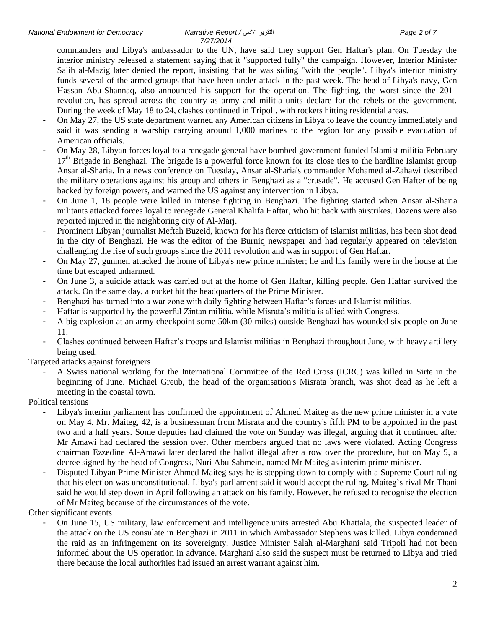commanders and Libya's ambassador to the UN, have said they support Gen Haftar's plan. On Tuesday the interior ministry released a statement saying that it "supported fully" the campaign. However, Interior Minister Salih al-Mazig later denied the report, insisting that he was siding "with the people". Libya's interior ministry funds several of the armed groups that have been under attack in the past week. The head of Libya's navy, Gen Hassan Abu-Shannaq, also announced his support for the operation. The fighting, the worst since the 2011 revolution, has spread across the country as army and militia units declare for the rebels or the government. During the week of May 18 to 24, clashes continued in Tripoli, with rockets hitting residential areas.

- On May 27, the US state department warned any American citizens in Libya to leave the country immediately and said it was sending a warship carrying around 1,000 marines to the region for any possible evacuation of American officials.
- On May 28, Libyan forces loyal to a renegade general have bombed government-funded Islamist militia February 17<sup>th</sup> Brigade in Benghazi. The brigade is a powerful force known for its close ties to the hardline Islamist group Ansar al-Sharia. In a news conference on Tuesday, Ansar al-Sharia's commander Mohamed al-Zahawi described the military operations against his group and others in Benghazi as a "crusade". He accused Gen Hafter of being backed by foreign powers, and warned the US against any intervention in Libya.
- On June 1, 18 people were killed in intense fighting in Benghazi. The fighting started when Ansar al-Sharia militants attacked forces loyal to renegade General Khalifa Haftar, who hit back with airstrikes. Dozens were also reported injured in the neighboring city of Al-Marj.
- Prominent Libyan journalist Meftah Buzeid, known for his fierce criticism of Islamist militias, has been shot dead in the city of Benghazi. He was the editor of the Burniq newspaper and had regularly appeared on television challenging the rise of such groups since the 2011 revolution and was in support of Gen Haftar.
- On May 27, gunmen attacked the home of Libya's new prime minister; he and his family were in the house at the time but escaped unharmed.
- On June 3, a suicide attack was carried out at the home of Gen Haftar, killing people. Gen Haftar survived the attack. On the same day, a rocket hit the headquarters of the Prime Minister.
- Benghazi has turned into a war zone with daily fighting between Haftar's forces and Islamist militias.
- Haftar is supported by the powerful Zintan militia, while Misrata's militia is allied with Congress.
- A big explosion at an army checkpoint some 50km (30 miles) outside Benghazi has wounded six people on June 11.
- Clashes continued between Haftar's troops and Islamist militias in Benghazi throughout June, with heavy artillery being used.

Targeted attacks against foreigners

- A Swiss national working for the International Committee of the Red Cross (ICRC) was killed in Sirte in the beginning of June. Michael Greub, the head of the organisation's Misrata branch, was shot dead as he left a meeting in the coastal town.

#### Political tensions

- Libya's interim parliament has confirmed the appointment of Ahmed Maiteg as the new prime minister in a vote on May 4. Mr. Maiteg, 42, is a businessman from Misrata and the country's fifth PM to be appointed in the past two and a half years. Some deputies had claimed the vote on Sunday was illegal, arguing that it continued after Mr Amawi had declared the session over. Other members argued that no laws were violated. Acting Congress chairman Ezzedine Al-Amawi later declared the ballot illegal after a row over the procedure, but on May 5, a decree signed by the head of Congress, Nuri Abu Sahmein, named Mr Maiteg as interim prime minister.
- Disputed Libyan Prime Minister Ahmed Maiteg says he is stepping down to comply with a Supreme Court ruling that his election was unconstitutional. Libya's parliament said it would accept the ruling. Maiteg's rival Mr Thani said he would step down in April following an attack on his family. However, he refused to recognise the election of Mr Maiteg because of the circumstances of the vote.

Other significant events

- On June 15, US military, law enforcement and intelligence units arrested Abu Khattala, the suspected leader of the attack on the US consulate in Benghazi in 2011 in which Ambassador Stephens was killed. Libya condemned the raid as an infringement on its sovereignty. Justice Minister Salah al-Marghani said Tripoli had not been informed about the US operation in advance. Marghani also said the suspect must be returned to Libya and tried there because the local authorities had issued an arrest warrant against him.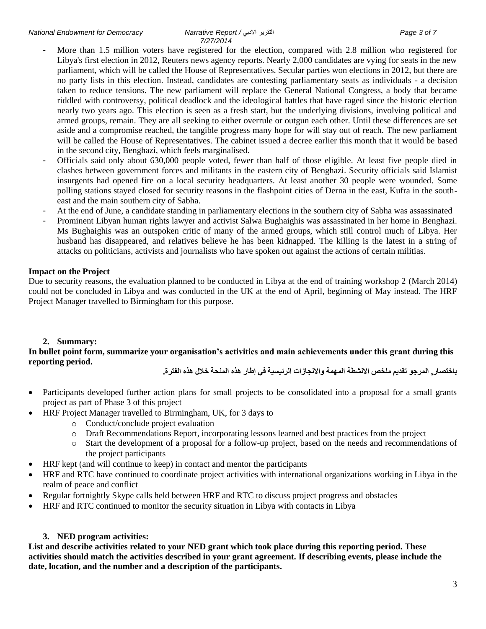- More than 1.5 million voters have registered for the election, compared with 2.8 million who registered for Libya's first election in 2012, Reuters news agency reports. Nearly 2,000 candidates are vying for seats in the new parliament, which will be called the House of Representatives. Secular parties won elections in 2012, but there are no party lists in this election. Instead, candidates are contesting parliamentary seats as individuals - a decision taken to reduce tensions. The new parliament will replace the General National Congress, a body that became riddled with controversy, political deadlock and the ideological battles that have raged since the historic election nearly two years ago. This election is seen as a fresh start, but the underlying divisions, involving political and armed groups, remain. They are all seeking to either overrule or outgun each other. Until these differences are set aside and a compromise reached, the tangible progress many hope for will stay out of reach. The new parliament will be called the House of Representatives. The cabinet issued a decree earlier this month that it would be based in the second city, Benghazi, which feels marginalised.
- Officials said only about 630,000 people voted, fewer than half of those eligible. At least five people died in clashes between government forces and militants in the eastern city of Benghazi. Security officials said Islamist insurgents had opened fire on a local security headquarters. At least another 30 people were wounded. Some polling stations stayed closed for security reasons in the flashpoint cities of Derna in the east, Kufra in the southeast and the main southern city of Sabha.
- At the end of June, a candidate standing in parliamentary elections in the southern city of Sabha was assassinated
- Prominent Libyan human rights lawyer and activist Salwa Bughaighis was assassinated in her home in Benghazi. Ms Bughaighis was an outspoken critic of many of the armed groups, which still control much of Libya. Her husband has disappeared, and relatives believe he has been kidnapped. The killing is the latest in a string of attacks on politicians, activists and journalists who have spoken out against the actions of certain militias.

## **Impact on the Project**

Due to security reasons, the evaluation planned to be conducted in Libya at the end of training workshop 2 (March 2014) could not be concluded in Libya and was conducted in the UK at the end of April, beginning of May instead. The HRF Project Manager travelled to Birmingham for this purpose.

## **2. Summary:**

## **In bullet point form, summarize your organisation's activities and main achievements under this grant during this reporting period.**

**باختصار, المرجو تقديم ملخص االنشطة المهمة واالنجازات الرئيسية في إطار هذه المنحة خالل هذه الفترة.**

- Participants developed further action plans for small projects to be consolidated into a proposal for a small grants project as part of Phase 3 of this project
- HRF Project Manager travelled to Birmingham, UK, for 3 days to
	- o Conduct/conclude project evaluation
	- o Draft Recommendations Report, incorporating lessons learned and best practices from the project
	- o Start the development of a proposal for a follow-up project, based on the needs and recommendations of the project participants
- HRF kept (and will continue to keep) in contact and mentor the participants
- HRF and RTC have continued to coordinate project activities with international organizations working in Libya in the realm of peace and conflict
- Regular fortnightly Skype calls held between HRF and RTC to discuss project progress and obstacles
- HRF and RTC continued to monitor the security situation in Libya with contacts in Libya

## **3. NED program activities:**

**List and describe activities related to your NED grant which took place during this reporting period. These activities should match the activities described in your grant agreement. If describing events, please include the date, location, and the number and a description of the participants.**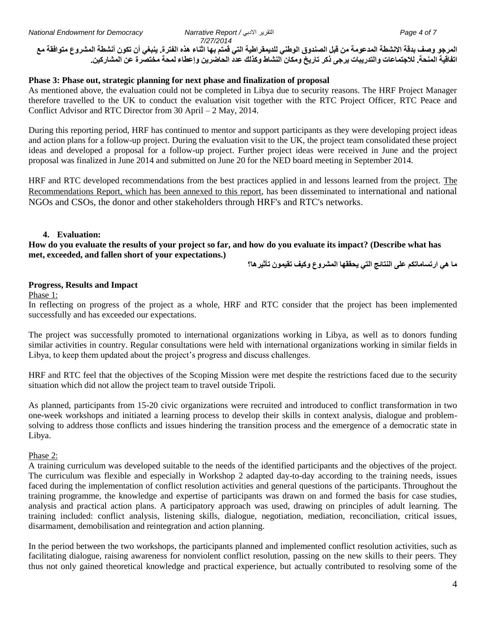**المرجو وصف بدقة االنشطة المدعومة من قبل الصندوق الوطني للديمقراطية التي قمتم بها اثناء هذه الفترة. ينبغي أن تكون أنشطة المشروع متوافقة مع اتفاقية المنحة. لالجتماعات والتدريبات يرجى ذكر تاريخ ومكان النشاط وكذلك عدد الحاضرين وإعطاء لمحة مختصرة عن المشاركين.**

## **Phase 3: Phase out, strategic planning for next phase and finalization of proposal**

As mentioned above, the evaluation could not be completed in Libya due to security reasons. The HRF Project Manager therefore travelled to the UK to conduct the evaluation visit together with the RTC Project Officer, RTC Peace and Conflict Advisor and RTC Director from 30 April – 2 May, 2014.

During this reporting period, HRF has continued to mentor and support participants as they were developing project ideas and action plans for a follow-up project. During the evaluation visit to the UK, the project team consolidated these project ideas and developed a proposal for a follow-up project. Further project ideas were received in June and the project proposal was finalized in June 2014 and submitted on June 20 for the NED board meeting in September 2014.

HRF and RTC developed recommendations from the best practices applied in and lessons learned from the project. The Recommendations Report, which has been annexed to this report, has been disseminated to international and national NGOs and CSOs, the donor and other stakeholders through HRF's and RTC's networks.

## **4. Evaluation:**

**How do you evaluate the results of your project so far, and how do you evaluate its impact? (Describe what has met, exceeded, and fallen short of your expectations.)**

**ما هي ارتساماتكم على النتائج التي يحققها المشروع وكيف تقيمون تأثيرها؟**

## **Progress, Results and Impact**

Phase 1:

In reflecting on progress of the project as a whole, HRF and RTC consider that the project has been implemented successfully and has exceeded our expectations.

The project was successfully promoted to international organizations working in Libya, as well as to donors funding similar activities in country. Regular consultations were held with international organizations working in similar fields in Libya, to keep them updated about the project's progress and discuss challenges.

HRF and RTC feel that the objectives of the Scoping Mission were met despite the restrictions faced due to the security situation which did not allow the project team to travel outside Tripoli.

As planned, participants from 15-20 civic organizations were recruited and introduced to conflict transformation in two one-week workshops and initiated a learning process to develop their skills in context analysis, dialogue and problemsolving to address those conflicts and issues hindering the transition process and the emergence of a democratic state in Libya.

#### Phase 2:

A training curriculum was developed suitable to the needs of the identified participants and the objectives of the project. The curriculum was flexible and especially in Workshop 2 adapted day-to-day according to the training needs, issues faced during the implementation of conflict resolution activities and general questions of the participants. Throughout the training programme, the knowledge and expertise of participants was drawn on and formed the basis for case studies, analysis and practical action plans. A participatory approach was used, drawing on principles of adult learning. The training included: conflict analysis, listening skills, dialogue, negotiation, mediation, reconciliation, critical issues, disarmament, demobilisation and reintegration and action planning.

In the period between the two workshops, the participants planned and implemented conflict resolution activities, such as facilitating dialogue, raising awareness for nonviolent conflict resolution, passing on the new skills to their peers. They thus not only gained theoretical knowledge and practical experience, but actually contributed to resolving some of the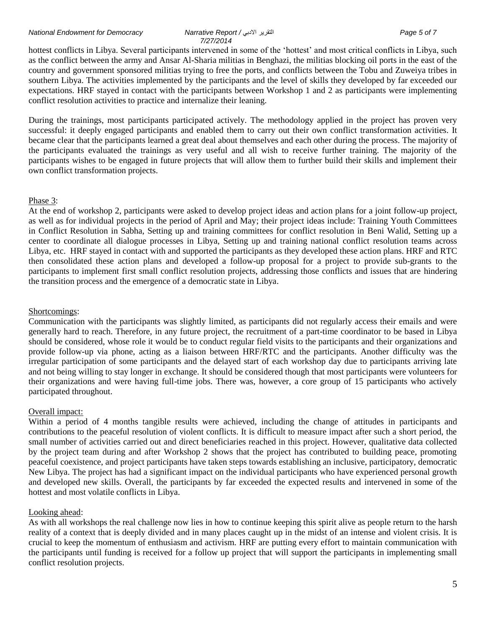#### *National Endowment for Democracy Narrative Report /* االدبي التقرير *Page 5 of 7*

## *7/27/2014*

hottest conflicts in Libya. Several participants intervened in some of the 'hottest' and most critical conflicts in Libya, such as the conflict between the army and Ansar Al-Sharia militias in Benghazi, the militias blocking oil ports in the east of the country and government sponsored militias trying to free the ports, and conflicts between the Tobu and Zuweiya tribes in southern Libya. The activities implemented by the participants and the level of skills they developed by far exceeded our expectations. HRF stayed in contact with the participants between Workshop 1 and 2 as participants were implementing conflict resolution activities to practice and internalize their leaning.

During the trainings, most participants participated actively. The methodology applied in the project has proven very successful: it deeply engaged participants and enabled them to carry out their own conflict transformation activities. It became clear that the participants learned a great deal about themselves and each other during the process. The majority of the participants evaluated the trainings as very useful and all wish to receive further training. The majority of the participants wishes to be engaged in future projects that will allow them to further build their skills and implement their own conflict transformation projects.

#### Phase 3:

At the end of workshop 2, participants were asked to develop project ideas and action plans for a joint follow-up project, as well as for individual projects in the period of April and May; their project ideas include: Training Youth Committees in Conflict Resolution in Sabha, Setting up and training committees for conflict resolution in Beni Walid, Setting up a center to coordinate all dialogue processes in Libya, Setting up and training national conflict resolution teams across Libya, etc. HRF stayed in contact with and supported the participants as they developed these action plans. HRF and RTC then consolidated these action plans and developed a follow-up proposal for a project to provide sub-grants to the participants to implement first small conflict resolution projects, addressing those conflicts and issues that are hindering the transition process and the emergence of a democratic state in Libya.

#### Shortcomings:

Communication with the participants was slightly limited, as participants did not regularly access their emails and were generally hard to reach. Therefore, in any future project, the recruitment of a part-time coordinator to be based in Libya should be considered, whose role it would be to conduct regular field visits to the participants and their organizations and provide follow-up via phone, acting as a liaison between HRF/RTC and the participants. Another difficulty was the irregular participation of some participants and the delayed start of each workshop day due to participants arriving late and not being willing to stay longer in exchange. It should be considered though that most participants were volunteers for their organizations and were having full-time jobs. There was, however, a core group of 15 participants who actively participated throughout.

## Overall impact:

Within a period of 4 months tangible results were achieved, including the change of attitudes in participants and contributions to the peaceful resolution of violent conflicts. It is difficult to measure impact after such a short period, the small number of activities carried out and direct beneficiaries reached in this project. However, qualitative data collected by the project team during and after Workshop 2 shows that the project has contributed to building peace, promoting peaceful coexistence, and project participants have taken steps towards establishing an inclusive, participatory, democratic New Libya. The project has had a significant impact on the individual participants who have experienced personal growth and developed new skills. Overall, the participants by far exceeded the expected results and intervened in some of the hottest and most volatile conflicts in Libya.

## Looking ahead:

As with all workshops the real challenge now lies in how to continue keeping this spirit alive as people return to the harsh reality of a context that is deeply divided and in many places caught up in the midst of an intense and violent crisis. It is crucial to keep the momentum of enthusiasm and activism. HRF are putting every effort to maintain communication with the participants until funding is received for a follow up project that will support the participants in implementing small conflict resolution projects.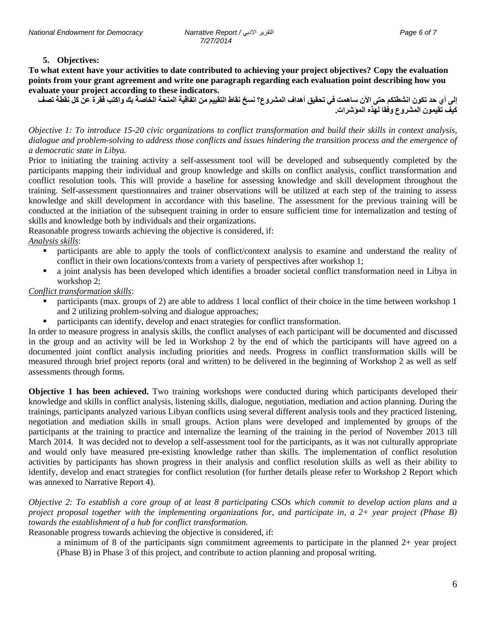#### **5. Objectives:**

**To what extent have your activities to date contributed to achieving your project objectives? Copy the evaluation points from your grant agreement and write one paragraph regarding each evaluation point describing how you evaluate your project according to these indicators.**

**إلى أي حد تكون انشطتكم حتى اآلن ساهمت في تحقيق أهداف المشروع؟ نسخ نقاط التقييم من اتفاقية المنحة الخاصة بك واكتب فقرة عن كل نقطة تصف كيف تقيمون المشروع وفقا لهذه المؤشرات.**

*Objective 1: To introduce 15-20 civic organizations to conflict transformation and build their skills in context analysis, dialogue and problem-solving to address those conflicts and issues hindering the transition process and the emergence of a democratic state in Libya.*

Prior to initiating the training activity a self-assessment tool will be developed and subsequently completed by the participants mapping their individual and group knowledge and skills on conflict analysis, conflict transformation and conflict resolution tools. This will provide a baseline for assessing knowledge and skill development throughout the training. Self-assessment questionnaires and trainer observations will be utilized at each step of the training to assess knowledge and skill development in accordance with this baseline. The assessment for the previous training will be conducted at the initiation of the subsequent training in order to ensure sufficient time for internalization and testing of skills and knowledge both by individuals and their organizations.

Reasonable progress towards achieving the objective is considered, if: *Analysis skills*:

- participants are able to apply the tools of conflict/context analysis to examine and understand the reality of conflict in their own locations/contexts from a variety of perspectives after workshop 1;
- a joint analysis has been developed which identifies a broader societal conflict transformation need in Libya in workshop 2;

*Conflict transformation skills*:

- participants (max. groups of 2) are able to address 1 local conflict of their choice in the time between workshop 1 and 2 utilizing problem-solving and dialogue approaches;
- participants can identify, develop and enact strategies for conflict transformation.

In order to measure progress in analysis skills, the conflict analyses of each participant will be documented and discussed in the group and an activity will be led in Workshop 2 by the end of which the participants will have agreed on a documented joint conflict analysis including priorities and needs. Progress in conflict transformation skills will be measured through brief project reports (oral and written) to be delivered in the beginning of Workshop 2 as well as self assessments through forms.

**Objective 1 has been achieved.** Two training workshops were conducted during which participants developed their knowledge and skills in conflict analysis, listening skills, dialogue, negotiation, mediation and action planning. During the trainings, participants analyzed various Libyan conflicts using several different analysis tools and they practiced listening, negotiation and mediation skills in small groups. Action plans were developed and implemented by groups of the participants at the training to practice and internalize the learning of the training in the period of November 2013 till March 2014. It was decided not to develop a self-assessment tool for the participants, as it was not culturally appropriate and would only have measured pre-existing knowledge rather than skills. The implementation of conflict resolution activities by participants has shown progress in their analysis and conflict resolution skills as well as their ability to identify, develop and enact strategies for conflict resolution (for further details please refer to Workshop 2 Report which was annexed to Narrative Report 4).

*Objective 2: To establish a core group of at least 8 participating CSOs which commit to develop action plans and a project proposal together with the implementing organizations for, and participate in, a 2+ year project (Phase B) towards the establishment of a hub for conflict transformation.*

Reasonable progress towards achieving the objective is considered, if:

a minimum of 8 of the participants sign commitment agreements to participate in the planned 2+ year project (Phase B) in Phase 3 of this project, and contribute to action planning and proposal writing.